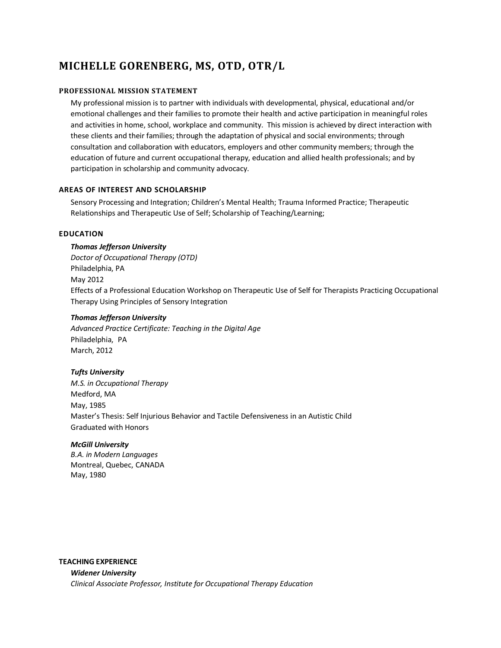# **MICHELLE GORENBERG, MS, OTD, OTR/L**

# **PROFESSIONAL MISSION STATEMENT**

My professional mission is to partner with individuals with developmental, physical, educational and/or emotional challenges and their families to promote their health and active participation in meaningful roles and activities in home, school, workplace and community. This mission is achieved by direct interaction with these clients and their families; through the adaptation of physical and social environments; through consultation and collaboration with educators, employers and other community members; through the education of future and current occupational therapy, education and allied health professionals; and by participation in scholarship and community advocacy.

# **AREAS OF INTEREST AND SCHOLARSHIP**

Sensory Processing and Integration; Children's Mental Health; Trauma Informed Practice; Therapeutic Relationships and Therapeutic Use of Self; Scholarship of Teaching/Learning;

# **EDUCATION**

# *Thomas Jefferson University*

*Doctor of Occupational Therapy (OTD)* Philadelphia, PA May 2012 Effects of a Professional Education Workshop on Therapeutic Use of Self for Therapists Practicing Occupational Therapy Using Principles of Sensory Integration

# *Thomas Jefferson University*

*Advanced Practice Certificate: Teaching in the Digital Age*  Philadelphia, PA March, 2012

# *Tufts University*

*M.S. in Occupational Therapy* Medford, MA May, 1985 Master's Thesis: Self Injurious Behavior and Tactile Defensiveness in an Autistic Child Graduated with Honors

# *McGill University*

*B.A. in Modern Languages* Montreal, Quebec, CANADA May, 1980

# **TEACHING EXPERIENCE**

*Widener University Clinical Associate Professor, Institute for Occupational Therapy Education*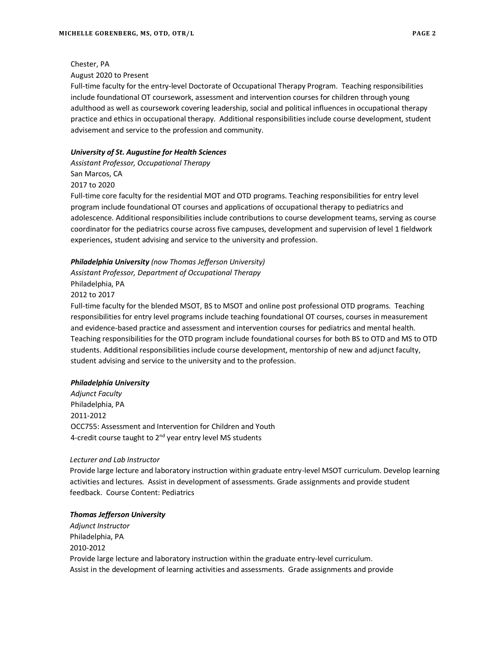Chester, PA

August 2020 to Present

Full-time faculty for the entry-level Doctorate of Occupational Therapy Program. Teaching responsibilities include foundational OT coursework, assessment and intervention courses for children through young adulthood as well as coursework covering leadership, social and political influences in occupational therapy practice and ethics in occupational therapy. Additional responsibilities include course development, student advisement and service to the profession and community.

# *University of St. Augustine for Health Sciences*

*Assistant Professor, Occupational Therapy* San Marcos, CA 2017 to 2020

Full-time core faculty for the residential MOT and OTD programs. Teaching responsibilities for entry level program include foundational OT courses and applications of occupational therapy to pediatrics and adolescence. Additional responsibilities include contributions to course development teams, serving as course coordinator for the pediatrics course across five campuses, development and supervision of level 1 fieldwork experiences, student advising and service to the university and profession.

# *Philadelphia University (now Thomas Jefferson University)*

*Assistant Professor, Department of Occupational Therapy* Philadelphia, PA 2012 to 2017

Full-time faculty for the blended MSOT, BS to MSOT and online post professional OTD programs. Teaching responsibilities for entry level programs include teaching foundational OT courses, courses in measurement and evidence-based practice and assessment and intervention courses for pediatrics and mental health. Teaching responsibilities for the OTD program include foundational courses for both BS to OTD and MS to OTD students. Additional responsibilities include course development, mentorship of new and adjunct faculty, student advising and service to the university and to the profession.

# *Philadelphia University*

*Adjunct Faculty* Philadelphia, PA 2011-2012 OCC755: Assessment and Intervention for Children and Youth 4-credit course taught to 2<sup>nd</sup> year entry level MS students

# *Lecturer and Lab Instructor*

Provide large lecture and laboratory instruction within graduate entry-level MSOT curriculum. Develop learning activities and lectures. Assist in development of assessments. Grade assignments and provide student feedback. Course Content: Pediatrics

# *Thomas Jefferson University*

*Adjunct Instructor* Philadelphia, PA 2010-2012 Provide large lecture and laboratory instruction within the graduate entry-level curriculum. Assist in the development of learning activities and assessments. Grade assignments and provide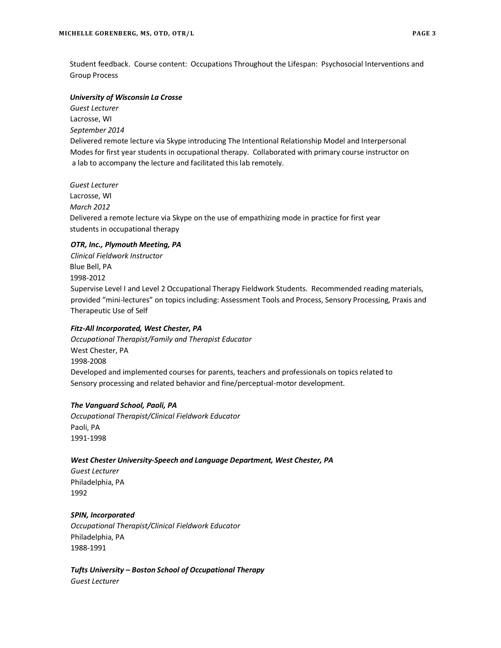Student feedback. Course content: Occupations Throughout the Lifespan: Psychosocial Interventions and Group Process

# *University of Wisconsin La Crosse*

 *Guest Lecturer* Lacrosse, WI  *September 2014* Delivered remote lecture via Skype introducing The Intentional Relationship Model and Interpersonal Modes for first year students in occupational therapy. Collaborated with primary course instructor on a lab to accompany the lecture and facilitated this lab remotely.

*Guest Lecturer* Lacrosse, WI *March 2012* Delivered a remote lecture via Skype on the use of empathizing mode in practice for first year students in occupational therapy

# *OTR, Inc., Plymouth Meeting, PA*

*Clinical Fieldwork Instructor* Blue Bell, PA 1998-2012 Supervise Level I and Level 2 Occupational Therapy Fieldwork Students. Recommended reading materials, provided "mini-lectures" on topics including: Assessment Tools and Process, Sensory Processing, Praxis and Therapeutic Use of Self

# *Fitz-All Incorporated, West Chester, PA*

*Occupational Therapist/Family and Therapist Educator* West Chester, PA 1998-2008 Developed and implemented courses for parents, teachers and professionals on topics related to Sensory processing and related behavior and fine/perceptual-motor development.

# *The Vanguard School, Paoli, PA*

*Occupational Therapist/Clinical Fieldwork Educator* Paoli, PA 1991-1998

# *West Chester University-Speech and Language Department, West Chester, PA*

*Guest Lecturer* Philadelphia, PA 1992

# *SPIN, Incorporated*

*Occupational Therapist/Clinical Fieldwork Educator* Philadelphia, PA 1988-1991

*Tufts University – Boston School of Occupational Therapy Guest Lecturer*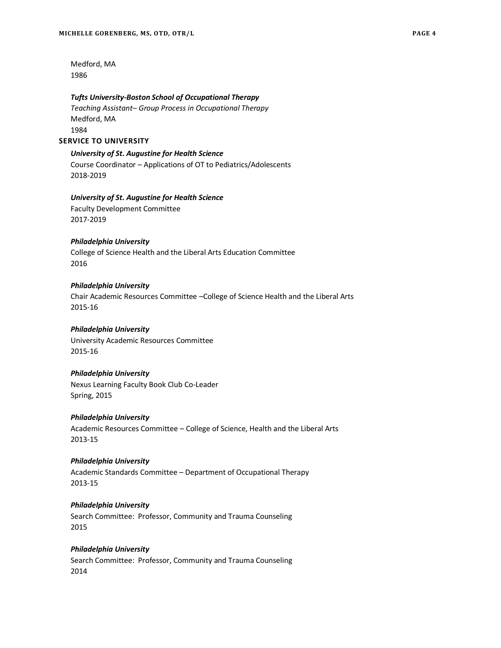Medford, MA 1986

#### *Tufts University-Boston School of Occupational Therapy*

*Teaching Assistant– Group Process in Occupational Therapy* Medford, MA 1984

## **SERVICE TO UNIVERSITY**

*University of St. Augustine for Health Science* 

Course Coordinator – Applications of OT to Pediatrics/Adolescents 2018-2019

# *University of St. Augustine for Health Science*

Faculty Development Committee 2017-2019

# *Philadelphia University*

College of Science Health and the Liberal Arts Education Committee 2016

# *Philadelphia University*

Chair Academic Resources Committee –College of Science Health and the Liberal Arts 2015-16

# *Philadelphia University*

University Academic Resources Committee 2015-16

#### *Philadelphia University*

Nexus Learning Faculty Book Club Co-Leader Spring, 2015

# *Philadelphia University*

Academic Resources Committee – College of Science, Health and the Liberal Arts 2013-15

# *Philadelphia University*

Academic Standards Committee – Department of Occupational Therapy 2013-15

# *Philadelphia University*

Search Committee: Professor, Community and Trauma Counseling 2015

# *Philadelphia University*

Search Committee: Professor, Community and Trauma Counseling 2014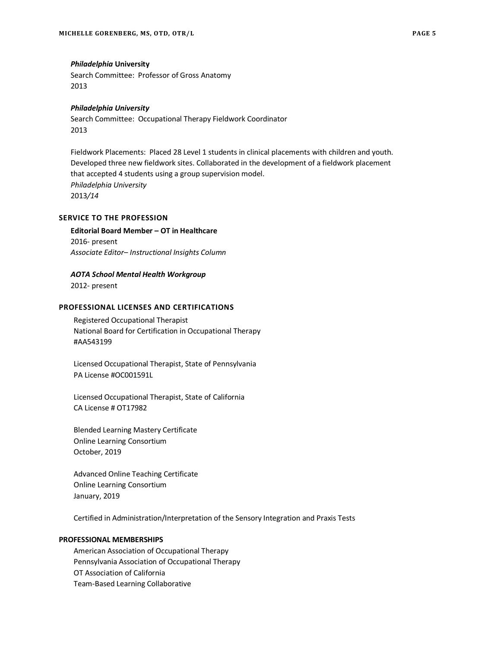#### *Philadelphia* **University**

Search Committee: Professor of Gross Anatomy 2013

# *Philadelphia University*

Search Committee: Occupational Therapy Fieldwork Coordinator 2013

Fieldwork Placements: Placed 28 Level 1 students in clinical placements with children and youth. Developed three new fieldwork sites. Collaborated in the development of a fieldwork placement that accepted 4 students using a group supervision model. *Philadelphia University*  2013*/14*

# **SERVICE TO THE PROFESSION**

**Editorial Board Member – OT in Healthcare**  2016- present *Associate Editor– Instructional Insights Column*

#### *AOTA School Mental Health Workgroup*

2012- present

# **PROFESSIONAL LICENSES AND CERTIFICATIONS**

Registered Occupational Therapist National Board for Certification in Occupational Therapy #AA543199

Licensed Occupational Therapist, State of Pennsylvania PA License #OC001591L

Licensed Occupational Therapist, State of California CA License # OT17982

Blended Learning Mastery Certificate Online Learning Consortium October, 2019

Advanced Online Teaching Certificate Online Learning Consortium January, 2019

Certified in Administration/Interpretation of the Sensory Integration and Praxis Tests

#### **PROFESSIONAL MEMBERSHIPS**

American Association of Occupational Therapy Pennsylvania Association of Occupational Therapy OT Association of California Team-Based Learning Collaborative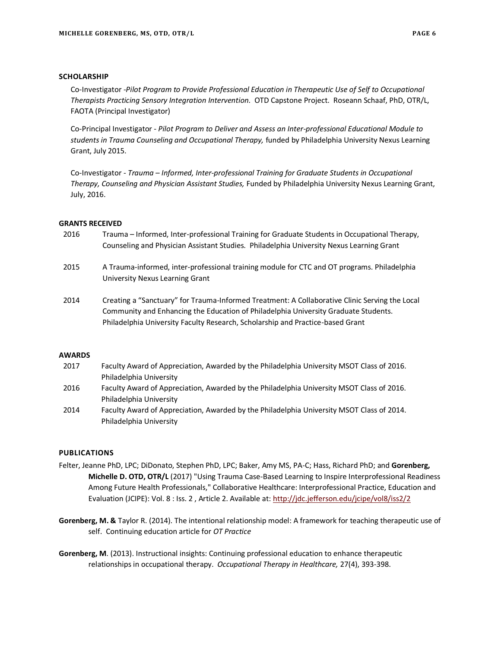# **SCHOLARSHIP**

Co-Investigator -*Pilot Program to Provide Professional Education in Therapeutic Use of Self to Occupational Therapists Practicing Sensory Integration Intervention.* OTD Capstone Project. Roseann Schaaf, PhD, OTR/L, FAOTA (Principal Investigator)

Co-Principal Investigator - *Pilot Program to Deliver and Assess an Inter-professional Educational Module to students in Trauma Counseling and Occupational Therapy,* funded by Philadelphia University Nexus Learning Grant, July 2015.

Co-Investigator - *Trauma – Informed, Inter-professional Training for Graduate Students in Occupational Therapy, Counseling and Physician Assistant Studies,* Funded by Philadelphia University Nexus Learning Grant, July, 2016.

# **GRANTS RECEIVED**

- 2016 Trauma Informed, Inter-professional Training for Graduate Students in Occupational Therapy, Counseling and Physician Assistant Studies. Philadelphia University Nexus Learning Grant
- 2015 A Trauma-informed, inter-professional training module for CTC and OT programs. Philadelphia University Nexus Learning Grant
- 2014 Creating a "Sanctuary" for Trauma-Informed Treatment: A Collaborative Clinic Serving the Local Community and Enhancing the Education of Philadelphia University Graduate Students. Philadelphia University Faculty Research, Scholarship and Practice-based Grant

# **AWARDS**

- 2017 Faculty Award of Appreciation, Awarded by the Philadelphia University MSOT Class of 2016. Philadelphia University
- 2016 Faculty Award of Appreciation, Awarded by the Philadelphia University MSOT Class of 2016. Philadelphia University
- 2014 Faculty Award of Appreciation, Awarded by the Philadelphia University MSOT Class of 2014. Philadelphia University

#### **PUBLICATIONS**

- Felter, Jeanne PhD, LPC; DiDonato, Stephen PhD, LPC; Baker, Amy MS, PA-C; Hass, Richard PhD; and **Gorenberg, Michelle D. OTD, OTR/L** (2017) "Using Trauma Case-Based Learning to Inspire Interprofessional Readiness Among Future Health Professionals," Collaborative Healthcare: Interprofessional Practice, Education and Evaluation (JCIPE): Vol. 8 : Iss. 2 , Article 2. Available at[: http://jdc.jefferson.edu/jcipe/vol8/iss2/2](http://jdc.jefferson.edu/jcipe/vol8/iss2/2)
- **Gorenberg, M. &** Taylor R. (2014). The intentional relationship model: A framework for teaching therapeutic use of self. Continuing education article for *OT Practice*
- **Gorenberg, M**. (2013). Instructional insights: Continuing professional education to enhance therapeutic relationships in occupational therapy. *Occupational Therapy in Healthcare,* 27(4), 393-398.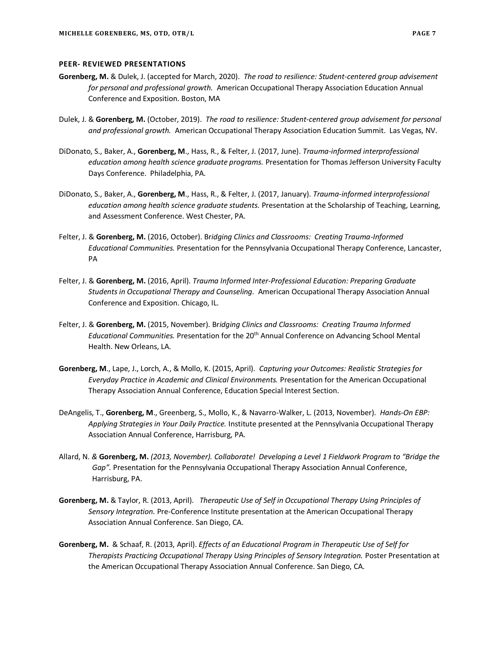# **PEER- REVIEWED PRESENTATIONS**

- **Gorenberg, M.** & Dulek, J. (accepted for March, 2020). *The road to resilience: Student-centered group advisement for personal and professional growth.* American Occupational Therapy Association Education Annual Conference and Exposition. Boston, MA
- Dulek, J. & **Gorenberg, M.** (October, 2019). *The road to resilience: Student-centered group advisement for personal and professional growth.* American Occupational Therapy Association Education Summit. Las Vegas, NV.
- DiDonato, S., Baker, A., **Gorenberg, M**., Hass, R., & Felter, J. (2017, June). *Trauma-informed interprofessional education among health science graduate programs.* Presentation for Thomas Jefferson University Faculty Days Conference. Philadelphia, PA.
- DiDonato, S., Baker, A., **Gorenberg, M**., Hass, R., & Felter, J. (2017, January). *Trauma-informed interprofessional education among health science graduate students.* Presentation at the Scholarship of Teaching, Learning, and Assessment Conference. West Chester, PA.
- Felter, J. & **Gorenberg, M.** (2016, October). Br*idging Clinics and Classrooms: Creating Trauma-Informed Educational Communities.* Presentation for the Pennsylvania Occupational Therapy Conference, Lancaster, PA
- Felter, J. & **Gorenberg, M.** (2016, April). *Trauma Informed Inter-Professional Education: Preparing Graduate Students in Occupational Therapy and Counseling.* American Occupational Therapy Association Annual Conference and Exposition. Chicago, IL.
- Felter, J. & **Gorenberg, M.** (2015, November). Br*idging Clinics and Classrooms: Creating Trauma Informed Educational Communities.* Presentation for the 20th Annual Conference on Advancing School Mental Health. New Orleans, LA.
- **Gorenberg, M**., Lape, J., Lorch, A., & Mollo, K. (2015, April). *Capturing your Outcomes: Realistic Strategies for Everyday Practice in Academic and Clinical Environments.* Presentation for the American Occupational Therapy Association Annual Conference, Education Special Interest Section.
- DeAngelis, T., **Gorenberg, M**., Greenberg, S., Mollo, K., & Navarro-Walker, L. (2013, November). *Hands-On EBP: Applying Strategies in Your Daily Practice.* Institute presented at the Pennsylvania Occupational Therapy Association Annual Conference, Harrisburg, PA.
- Allard, N. *&* **Gorenberg, M.** *(2013, November). Collaborate! Developing a Level 1 Fieldwork Program to "Bridge the Gap".* Presentation for the Pennsylvania Occupational Therapy Association Annual Conference, Harrisburg, PA.
- **Gorenberg, M.** & Taylor, R. (2013, April). *Therapeutic Use of Self in Occupational Therapy Using Principles of Sensory Integration.* Pre-Conference Institute presentation at the American Occupational Therapy Association Annual Conference. San Diego, CA.
- **Gorenberg, M.** & Schaaf, R. (2013, April). *Effects of an Educational Program in Therapeutic Use of Self for Therapists Practicing Occupational Therapy Using Principles of Sensory Integration.* Poster Presentation at the American Occupational Therapy Association Annual Conference. San Diego, CA.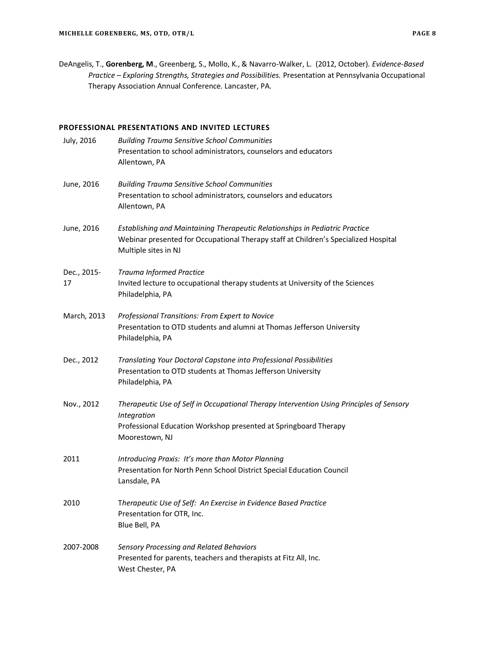DeAngelis, T., **Gorenberg, M**., Greenberg, S., Mollo, K., & Navarro-Walker, L. (2012, October). *Evidence-Based Practice – Exploring Strengths, Strategies and Possibilities.* Presentation at Pennsylvania Occupational Therapy Association Annual Conference. Lancaster, PA.

# **PROFESSIONAL PRESENTATIONS AND INVITED LECTURES**

| July, 2016        | <b>Building Trauma Sensitive School Communities</b><br>Presentation to school administrators, counselors and educators<br>Allentown, PA                                                       |
|-------------------|-----------------------------------------------------------------------------------------------------------------------------------------------------------------------------------------------|
| June, 2016        | <b>Building Trauma Sensitive School Communities</b><br>Presentation to school administrators, counselors and educators<br>Allentown, PA                                                       |
| June, 2016        | Establishing and Maintaining Therapeutic Relationships in Pediatric Practice<br>Webinar presented for Occupational Therapy staff at Children's Specialized Hospital<br>Multiple sites in NJ   |
| Dec., 2015-<br>17 | Trauma Informed Practice<br>Invited lecture to occupational therapy students at University of the Sciences<br>Philadelphia, PA                                                                |
| March, 2013       | Professional Transitions: From Expert to Novice<br>Presentation to OTD students and alumni at Thomas Jefferson University<br>Philadelphia, PA                                                 |
| Dec., 2012        | Translating Your Doctoral Capstone into Professional Possibilities<br>Presentation to OTD students at Thomas Jefferson University<br>Philadelphia, PA                                         |
| Nov., 2012        | Therapeutic Use of Self in Occupational Therapy Intervention Using Principles of Sensory<br>Integration<br>Professional Education Workshop presented at Springboard Therapy<br>Moorestown, NJ |
| 2011              | Introducing Praxis: It's more than Motor Planning<br>Presentation for North Penn School District Special Education Council<br>Lansdale, PA                                                    |
| 2010              | Therapeutic Use of Self: An Exercise in Evidence Based Practice<br>Presentation for OTR, Inc.<br>Blue Bell, PA                                                                                |
| 2007-2008         | Sensory Processing and Related Behaviors<br>Presented for parents, teachers and therapists at Fitz All, Inc.<br>West Chester, PA                                                              |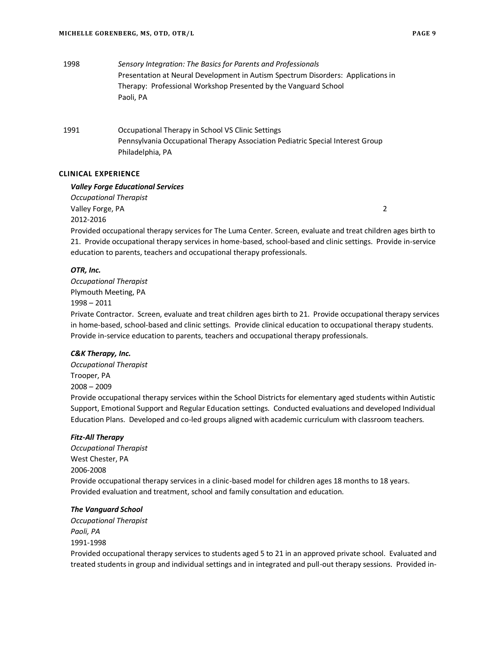1998 *Sensory Integration: The Basics for Parents and Professionals* Presentation at Neural Development in Autism Spectrum Disorders: Applications in Therapy: Professional Workshop Presented by the Vanguard School Paoli, PA

1991 Occupational Therapy in School VS Clinic Settings Pennsylvania Occupational Therapy Association Pediatric Special Interest Group Philadelphia, PA

# **CLINICAL EXPERIENCE**

# *Valley Forge Educational Services*

*Occupational Therapist* Valley Forge, PA 2 2012-2016

Provided occupational therapy services for The Luma Center. Screen, evaluate and treat children ages birth to 21. Provide occupational therapy services in home-based, school-based and clinic settings. Provide in-service education to parents, teachers and occupational therapy professionals.

# *OTR, Inc.*

*Occupational Therapist* Plymouth Meeting, PA 1998 – 2011

Private Contractor. Screen, evaluate and treat children ages birth to 21. Provide occupational therapy services in home-based, school-based and clinic settings. Provide clinical education to occupational therapy students. Provide in-service education to parents, teachers and occupational therapy professionals.

# *C&K Therapy, Inc.*

*Occupational Therapist* Trooper, PA 2008 – 2009

Provide occupational therapy services within the School Districts for elementary aged students within Autistic Support, Emotional Support and Regular Education settings. Conducted evaluations and developed Individual Education Plans. Developed and co-led groups aligned with academic curriculum with classroom teachers.

# *Fitz-All Therapy*

*Occupational Therapist* West Chester, PA 2006-2008 Provide occupational therapy services in a clinic-based model for children ages 18 months to 18 years. Provided evaluation and treatment, school and family consultation and education.

#### *The Vanguard School*

*Occupational Therapist Paoli, PA* 1991-1998

Provided occupational therapy services to students aged 5 to 21 in an approved private school. Evaluated and treated students in group and individual settings and in integrated and pull-out therapy sessions. Provided in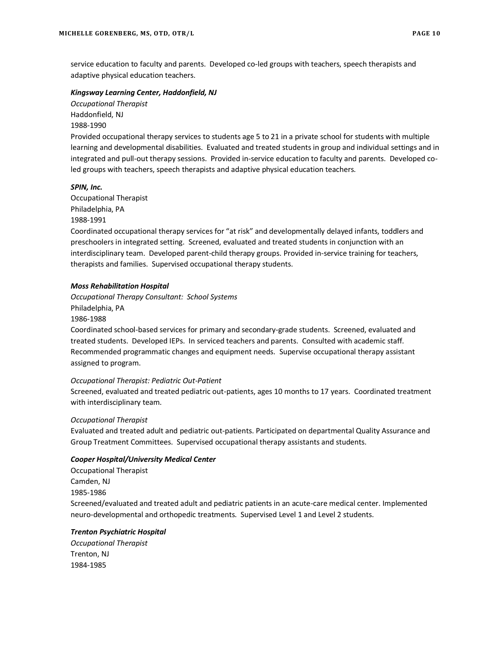service education to faculty and parents. Developed co-led groups with teachers, speech therapists and adaptive physical education teachers.

#### *Kingsway Learning Center, Haddonfield, NJ*

*Occupational Therapist* Haddonfield, NJ 1988-1990

Provided occupational therapy services to students age 5 to 21 in a private school for students with multiple learning and developmental disabilities. Evaluated and treated students in group and individual settings and in integrated and pull-out therapy sessions. Provided in-service education to faculty and parents. Developed coled groups with teachers, speech therapists and adaptive physical education teachers.

# *SPIN, Inc.*

Occupational Therapist Philadelphia, PA 1988-1991

Coordinated occupational therapy services for "at risk" and developmentally delayed infants, toddlers and preschoolers in integrated setting. Screened, evaluated and treated students in conjunction with an interdisciplinary team. Developed parent-child therapy groups. Provided in-service training for teachers, therapists and families. Supervised occupational therapy students.

# *Moss Rehabilitation Hospital*

*Occupational Therapy Consultant: School Systems*  Philadelphia, PA 1986-1988

Coordinated school-based services for primary and secondary-grade students. Screened, evaluated and treated students. Developed IEPs. In serviced teachers and parents. Consulted with academic staff. Recommended programmatic changes and equipment needs. Supervise occupational therapy assistant assigned to program.

# *Occupational Therapist: Pediatric Out-Patient*

Screened, evaluated and treated pediatric out-patients, ages 10 months to 17 years. Coordinated treatment with interdisciplinary team.

# *Occupational Therapist*

Evaluated and treated adult and pediatric out-patients. Participated on departmental Quality Assurance and Group Treatment Committees. Supervised occupational therapy assistants and students.

# *Cooper Hospital/University Medical Center*

Occupational Therapist Camden, NJ 1985-1986 Screened/evaluated and treated adult and pediatric patients in an acute-care medical center. Implemented neuro-developmental and orthopedic treatments. Supervised Level 1 and Level 2 students.

# *Trenton Psychiatric Hospital*

*Occupational Therapist* Trenton, NJ 1984-1985